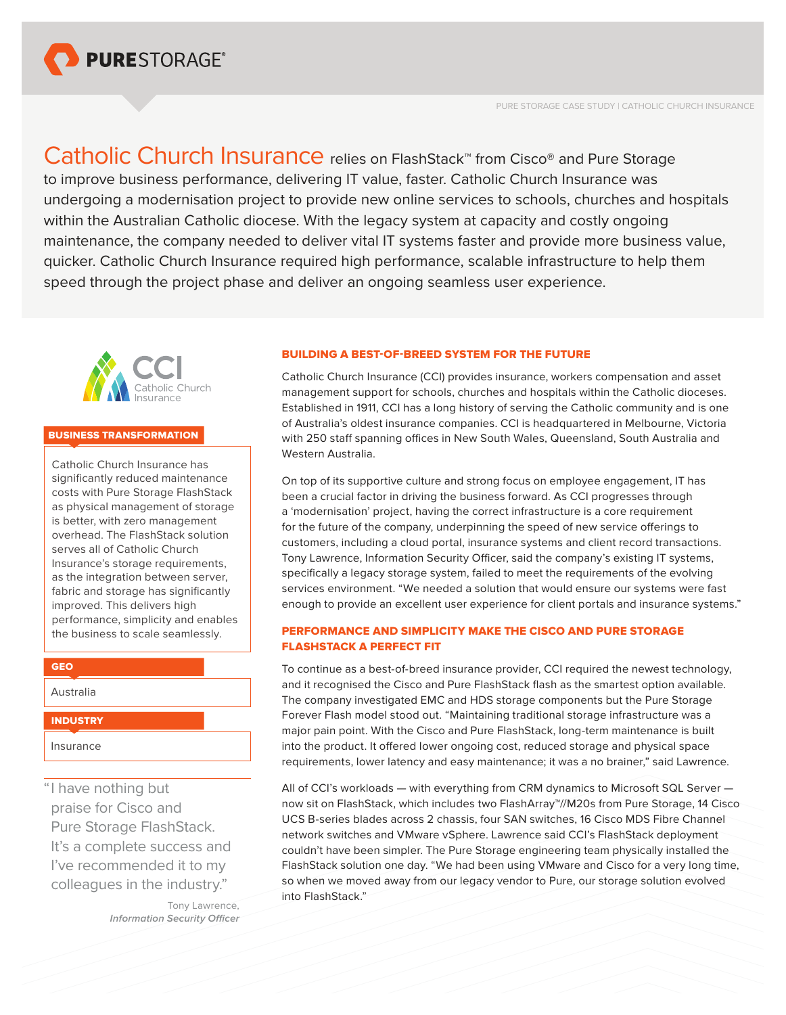

Catholic Church Insurance relies on FlashStack™ from Cisco® and Pure Storage to improve business performance, delivering IT value, faster. Catholic Church Insurance was undergoing a modernisation project to provide new online services to schools, churches and hospitals within the Australian Catholic diocese. With the legacy system at capacity and costly ongoing maintenance, the company needed to deliver vital IT systems faster and provide more business value, quicker. Catholic Church Insurance required high performance, scalable infrastructure to help them speed through the project phase and deliver an ongoing seamless user experience.



## BUSINESS TRANSFORMATION

Catholic Church Insurance has significantly reduced maintenance costs with Pure Storage FlashStack as physical management of storage is better, with zero management overhead. The FlashStack solution serves all of Catholic Church Insurance's storage requirements, as the integration between server, fabric and storage has significantly improved. This delivers high performance, simplicity and enables the business to scale seamlessly.

GEO

Australia

**INDUSTRY** 

Insurance

"I have nothing but praise for Cisco and Pure Storage FlashStack. It's a complete success and I've recommended it to my colleagues in the industry."

> Tony Lawrence, *Information Security Officer*

#### BUILDING A BEST-OF-BREED SYSTEM FOR THE FUTURE

Catholic Church Insurance (CCI) provides insurance, workers compensation and asset management support for schools, churches and hospitals within the Catholic dioceses. Established in 1911, CCI has a long history of serving the Catholic community and is one of Australia's oldest insurance companies. CCI is headquartered in Melbourne, Victoria with 250 staff spanning offices in New South Wales, Queensland, South Australia and Western Australia.

On top of its supportive culture and strong focus on employee engagement, IT has been a crucial factor in driving the business forward. As CCI progresses through a 'modernisation' project, having the correct infrastructure is a core requirement for the future of the company, underpinning the speed of new service offerings to customers, including a cloud portal, insurance systems and client record transactions. Tony Lawrence, Information Security Officer, said the company's existing IT systems, specifically a legacy storage system, failed to meet the requirements of the evolving services environment. "We needed a solution that would ensure our systems were fast enough to provide an excellent user experience for client portals and insurance systems."

## PERFORMANCE AND SIMPLICITY MAKE THE CISCO AND PURE STORAGE FLASHSTACK A PERFECT FIT

To continue as a best-of-breed insurance provider, CCI required the newest technology, and it recognised the Cisco and Pure FlashStack flash as the smartest option available. The company investigated EMC and HDS storage components but the Pure Storage Forever Flash model stood out. "Maintaining traditional storage infrastructure was a major pain point. With the Cisco and Pure FlashStack, long-term maintenance is built into the product. It offered lower ongoing cost, reduced storage and physical space requirements, lower latency and easy maintenance; it was a no brainer," said Lawrence.

All of CCI's workloads — with everything from CRM dynamics to Microsoft SQL Server now sit on FlashStack, which includes two FlashArray™//M20s from Pure Storage, 14 Cisco UCS B-series blades across 2 chassis, four SAN switches, 16 Cisco MDS Fibre Channel network switches and VMware vSphere. Lawrence said CCI's FlashStack deployment couldn't have been simpler. The Pure Storage engineering team physically installed the FlashStack solution one day. "We had been using VMware and Cisco for a very long time, so when we moved away from our legacy vendor to Pure, our storage solution evolved into FlashStack."